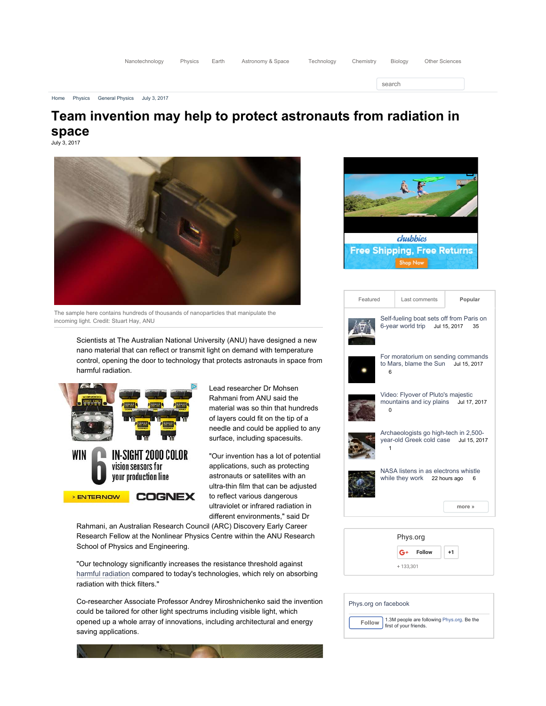| Nanotechnology |  |  | Physics Earth Astronomy & Space | Technology Chemistry L |  | Biology | Other Sciences |
|----------------|--|--|---------------------------------|------------------------|--|---------|----------------|
|----------------|--|--|---------------------------------|------------------------|--|---------|----------------|

search

#### Home Physics General Physics July 3, 2017

# Team invention may help to protect astronauts from radiation in space

July 3, 2017



The sample here contains hundreds of thousands of nanoparticles that manipulate the incoming light. Credit: Stuart Hay, ANU

Scientists at The Australian National University (ANU) have designed a new nano material that can reflect or transmit light on demand with temperature control, opening the door to technology that protects astronauts in space from harmful radiation.



Lead researcher Dr Mohsen Rahmani from ANU said the material was so thin that hundreds of layers could fit on the tip of a needle and could be applied to any surface, including spacesuits.

"Our invention has a lot of potential applications, such as protecting astronauts or satellites with an ultra-thin film that can be adjusted to reflect various dangerous ultraviolet or infrared radiation in different environments," said Dr

Rahmani, an Australian Research Council (ARC) Discovery Early Career Research Fellow at the Nonlinear Physics Centre within the ANU Research School of Physics and Engineering.

"Our technology significantly increases the resistance threshold against harmful radiation compared to today's technologies, which rely on absorbing radiation with thick filters."

Co-researcher Associate Professor Andrey Miroshnichenko said the invention could be tailored for other light spectrums including visible light, which opened up a whole array of innovations, including architectural and energy saving applications.



| Featured |                                                                                         | Last comments |               |  | Popular |        |  |
|----------|-----------------------------------------------------------------------------------------|---------------|---------------|--|---------|--------|--|
|          | Self-fueling boat sets off from Paris on<br>6-year world trip Jul 15, 2017<br>35        |               |               |  |         |        |  |
|          | For moratorium on sending commands<br>to Mars, blame the Sun Jul 15, 2017<br>6          |               |               |  |         |        |  |
|          | Video: Flyover of Pluto's majestic<br>mountains and icy plains Jul 17, 2017<br>$\Omega$ |               |               |  |         |        |  |
|          | Archaeologists go high-tech in 2,500-<br>year-old Greek cold case Jul 15, 2017<br>1     |               |               |  |         |        |  |
|          | NASA listens in as electrons whistle<br>while they work 22 hours ago<br>6               |               |               |  |         |        |  |
|          |                                                                                         |               |               |  |         | more » |  |
|          |                                                                                         |               |               |  |         |        |  |
|          | Phys.org                                                                                |               |               |  |         |        |  |
|          |                                                                                         | G+            | <b>Follow</b> |  | $+1$    |        |  |

Phys.org on facebook **Follow** 1.3M people are following Phys.org. Be the first of your friends.

+ 133,301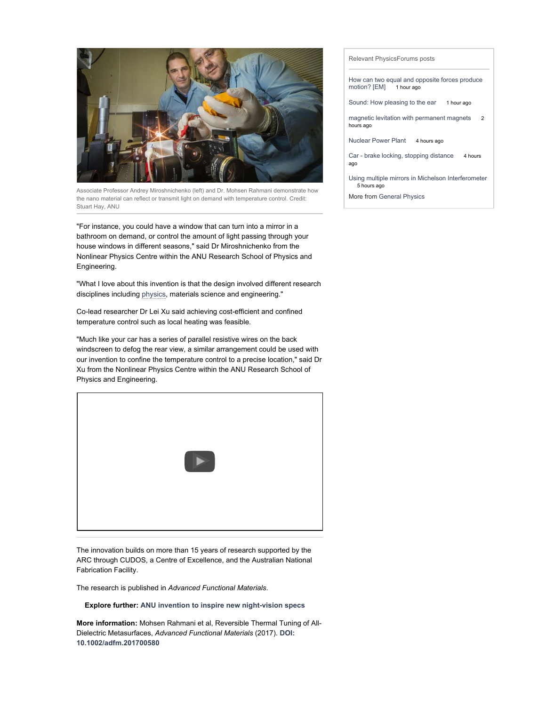

Associate Professor Andrey Miroshnichenko (left) and Dr. Mohsen Rahmani demonstrate how the nano material can reflect or transmit light on demand with temperature control. Credit: Stuart Hay, ANU

"For instance, you could have a window that can turn into a mirror in a bathroom on demand, or control the amount of light passing through your house windows in different seasons," said Dr Miroshnichenko from the Nonlinear Physics Centre within the ANU Research School of Physics and Engineering.

"What I love about this invention is that the design involved different research disciplines including physics, materials science and engineering."

Co-lead researcher Dr Lei Xu said achieving cost-efficient and confined temperature control such as local heating was feasible.

"Much like your car has a series of parallel resistive wires on the back windscreen to defog the rear view, a similar arrangement could be used with our invention to confine the temperature control to a precise location," said Dr Xu from the Nonlinear Physics Centre within the ANU Research School of Physics and Engineering.



The innovation builds on more than 15 years of research supported by the ARC through CUDOS, a Centre of Excellence, and the Australian National Fabrication Facility.

The research is published in Advanced Functional Materials.

Explore further: ANU invention to inspire new night-vision specs

More information: Mohsen Rahmani et al, Reversible Thermal Tuning of All-Dielectric Metasurfaces, Advanced Functional Materials (2017). DOI: 10.1002/adfm.201700580

#### Relevant PhysicsForums posts

How can two equal and opposite forces produce motion? [EM] 1 hour ago

Sound: How pleasing to the ear 1 hour ago

magnetic levitation with permanent magnets 2 hours ago

Nuclear Power Plant 4 hours ago

Car - brake locking, stopping distance 4 hours ago

Using multiple mirrors in Michelson Interferometer 5 hours ago

More from General Physics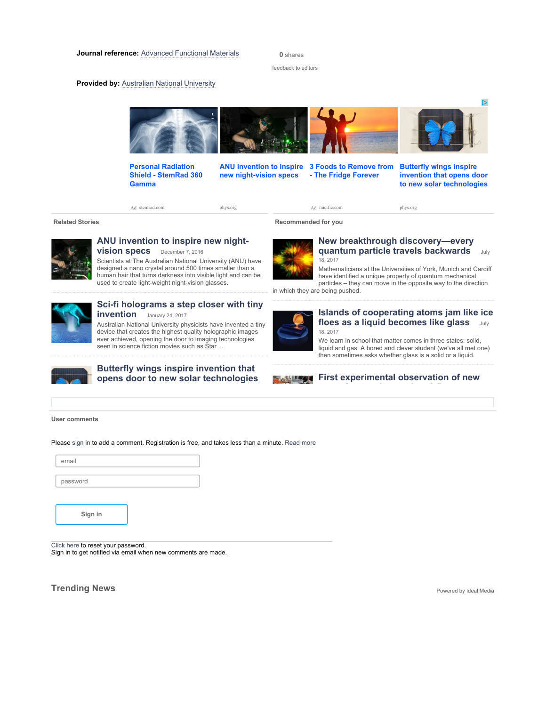0 shares

feedback to editors

### **Provided by: Australian National University**



Personal Radiation Shield - StemRad 360 Gamma

new night-vision specs

ANU invention to inspire 3 Foods to Remove from - The Fridge Forever

Butterfly wings inspire invention that opens door to new solar technologies

Ad stemrad.com

phys.org

Ad nucific.com

Related Stories **Related Stories Recommended for you** 



## ANU invention to inspire new night**vision specs** December 7, 2016

Scientists at The Australian National University (ANU) have designed a nano crystal around 500 times smaller than a human hair that turns darkness into visible light and can be used to create light-weight night-vision glasses.



New breakthrough discovery—every quantum particle travels backwards July 18, 2017

phys.org

Mathematicians at the Universities of York, Munich and Cardiff have identified a unique property of quantum mechanical particles – they can move in the opposite way to the direction

in which they are being pushed.



## Sci-fi holograms a step closer with tiny invention January 24, 2017

Australian National University physicists have invented a tiny device that creates the highest quality holographic images ever achieved, opening the door to imaging technologies seen in science fiction movies such as Star ...



## Butterfly wings inspire invention that opens door to new solar technologies



### Islands of cooperating atoms jam like ice floes as a liquid becomes like glass July 18, 2017

We learn in school that matter comes in three states: solid, liquid and gas. A bored and clever student (we've all met one) then sometimes asks whether glass is a solid or a liquid.

## **First experimental observation of new**

#### User comments

Please sign in to add a comment. Registration is free, and takes less than a minute. Read more

| email    |  |
|----------|--|
|          |  |
| password |  |
|          |  |
|          |  |
|          |  |
| Sign in  |  |
|          |  |
|          |  |

Click here to reset your password.

Sign in to get notified via email when new comments are made.

**Trending News** Powered by Ideal Media